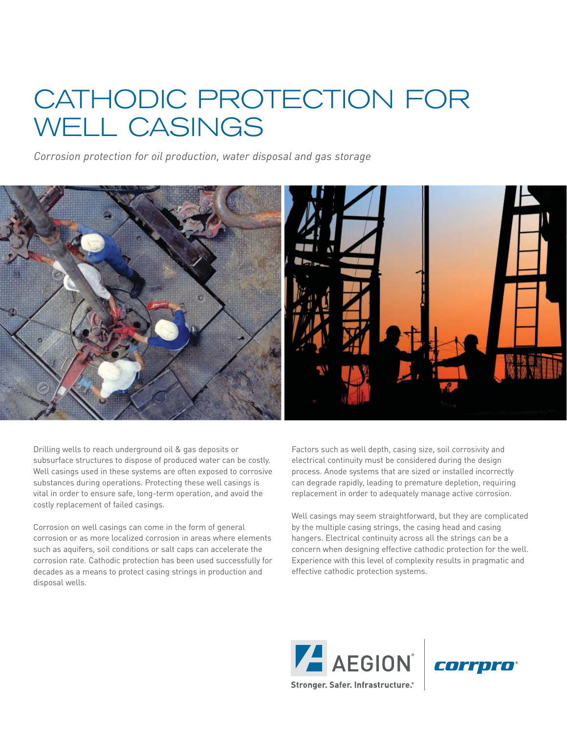# CATHODIC PROTECTION FOR WELL CASINGS

*Corrosion protection for oil production, water disposal and gas storage*



Drilling wells to reach underground oil & gas deposits or subsurface structures to dispose of produced water can be costly. Well casings used in these systems are often exposed to corrosive substances during operations. Protecting these well casings is vital in order to ensure safe, long-term operation, and avoid the costly replacement of failed casings.

Corrosion on well casings can come in the form of general corrosion or as more localized corrosion in areas where elements such as aquifers, soil conditions or salt caps can accelerate the corrosion rate. Cathodic protection has been used successfully for decades as a means to protect casing strings in production and disposal wells.

Factors such as well depth, casing size, soil corrosivity and electrical continuity must be considered during the design process. Anode systems that are sized or installed incorrectly can degrade rapidly, leading to premature depletion, requiring replacement in order to adequately manage active corrosion.

Well casings may seem straightforward, but they are complicated by the multiple casing strings, the casing head and casing hangers. Electrical continuity across all the strings can be a concern when designing effective cathodic protection for the well. Experience with this level of complexity results in pragmatic and effective cathodic protection systems.